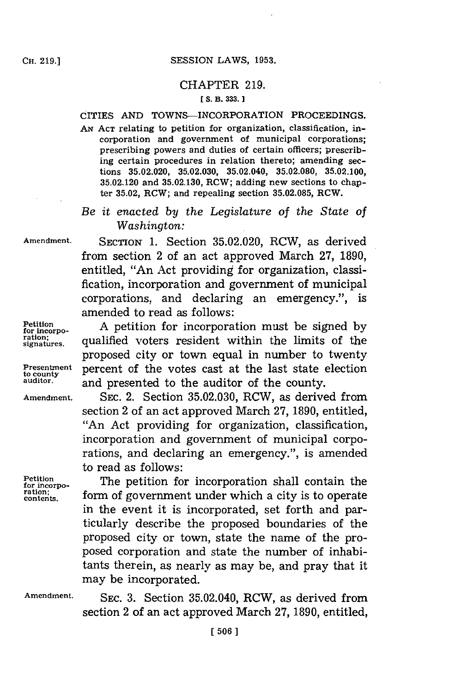## SESSION LAWS, 1953.

## CHAPTER **219. [ S. B. 333.]1**

## CITIES **AND** TOWNS-INCORPORATION PROCEEDINGS.

*AN* **ACT** relating to petition for organization, classification, incorporation and government of municipal corporations; prescribing powers and duties of certain officers; prescribing certain procedures in relation thereto; amending sections **35.02.020, 35.02.030,** 35.02.040, **35.02.080, 35.02.100, 35.02.120** and **35.02.130,** RCW; adding new sections to chapter **35.02,** RCW; and repealing section **35.02.085,** RCW.

*Be it enacted by the Legislature of the State of Washington:*

**Amendment.** SECTION **1.** Section **35.02.020,** RCW, as derived from section 2 of an act approved March **27, 1890,** entitled, "An Act providing for organization, classification, incorporation and government of municipal corporations, and declaring an emergency.", is amended to read as follows:

Petition<br>for incorporation **for incorporation** must be signed by<br>*ration*; <br>*signatures.* **qualified** voters resident within the limits of the proposed city or town equal in number to twenty **Presentment** percent of the votes cast at the last state election

**to county auditor,** and presented to the auditor of the county.

**Amendment. SEC.** 2. Section **35.02.030,** RCW, as derived from section 2 of an act approved March **27, 1890,** entitled, "An Act providing for organization, classification, incorporation and government of municipal corporations, and declaring an emergency.", is amended to read as follows:

Petition<br>
for incorporation shall contain the<br>
<u>ration</u>;<br> **putter form** of government under which a city is to contate ration; *form* of government under which a city is to operate in the event it is incorporated, set forth and particularly describe the proposed boundaries of the proposed city or town, state the name of the proposed corporation and state the number of inhabitants therein, as nearly as may be, and pray that it may be incorporated.

Amendment. SEC. 3. Section 35.02.040, RCW, as derived from section 2 of an act approved March **27, 1890,** entitled,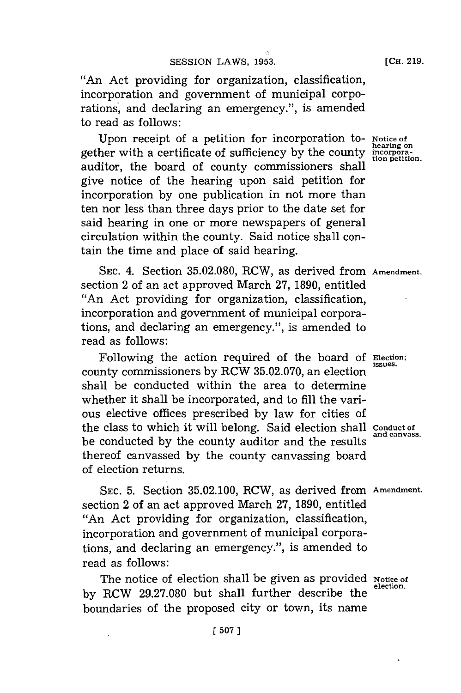"An Act providing for organization, classification, incorporation and government of municipal corporations, and declaring an emergency.", is amended to read as follows:

Upon receipt of a petition for incorporation to- **Notice of hearing on** gether with a certificate of sufficiency **by** the county **incorpora**auditor, the board of county commissioners shall give notice of the hearing upon said petition for incorporation **by** one publication in not more than ten nor less than three days prior to the date set for said hearing in one or more newspapers of general circulation within the county. Said notice shall contain the time and place of said hearing.

SEc. 4. Section **35.02.080,** RCW, as derived from **Amendment.** section 2 of an act approved March **27, 1890,** entitled "An Act providing for organization, classification, incorporation and government of municipal corporations, and declaring an emergency.", is amended to read as follows:

Following the action required of the board of Election; county commissioners by RCW 35.02.070, an election shall be conducted within the area to determine whether it shall be incorporated, and to **fill** the various elective offices prescribed **by** law for cities of the class to which it will belong. Said election shall **conduct of** be conducted by the county auditor and the results thereof canvassed **by** the county canvassing board of election returns.

SEC. **5.** Section **35.02.100,** RCW, as derived from **Amendment.** section 2 of an act approved March **27, 1890,** entitled "An Act providing for organization, classification, incorporation and government of municipal corporations, and declaring an emergency.", is amended to read as follows:

The notice of election shall be given as provided **Notice of**<br>election. by RCW 29.27.080 but shall further describe the boundaries of the proposed city or town, its name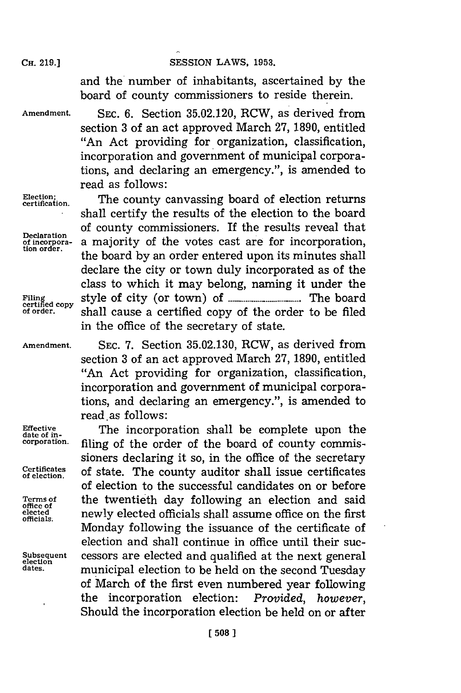## **CH. 219.] SESSION** LAWS, **1953.**

and the number of inhabitants, ascertained **by** the board of county commissioners to reside therein.

**Amendment. SEC. 6.** Section **35.02.120,** RCW, as derived from section **3** of an act approved March **27, 1890,** entitled "An Act providing for organization, classification, incorporation and government of municipal corporations, and declaring an emergency.", is amended to read as follows:

Election: The county canvassing board of election returns shall certify the results of the election to the board **Declaration** of county commissioners. If the results reveal that **of incorpora-** a majority of the votes cast are for incorporation, the board by an order entered upon its minutes shall declare the city or town duly incorporated as of the class to which it may belong, naming it under the **Fein cop** style of city (or town) of **...................... The** board **of order,** shall cause a certified copy of the order to be filed in the office of the secretary of state.

**office of officials.**

**Amendment. SEC. 7.** Section **35.02.130,** RCW, as derived from section **3** of an act approved March **27, 1890,** entitled "An Act providing for organization, classification, incorporation and government of municipal corporations, and declaring an emergency.", is amended to read, as follows:

**Effective The incorporation shall be complete upon the corporation,** filing of the order of the board of county commissioners declaring it so, in the office of the secretary Certificates of state. The county auditor shall issue certificates of election to the successful candidates on or before **Terms of** the twentieth day following an election and said **elected** newly elected officials shall assume office on the first Monday following the issuance of the certificate of election and shall continue in office until their suc-**Subsequent** cessors are elected and qualified at the next general **election** municipal election to be held on the second Tuesday of March of the first even numbered year following the incorporation election: *Provided, however,* Should the incorporation election be held on or after